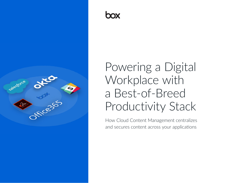

# Powering a Digital Workplace with a Best-of-Breed Productivity Stack

How Cloud Content Management centralizes and secures content across your applications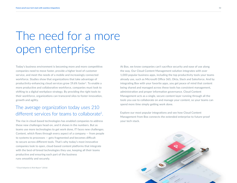### The need for a more open enterprise

Today's business environment is becoming more and more competitive: companies need to move faster, provide a higher level of customer service, and meet the needs of a mobile and increasingly connected workforce. Studies show that organizations that take advantage of productivity-enhancing cloud services grow 19.6% faster<sup>1</sup>. To enable a more productive and collaborative workforce, companies must look to shifting to a digital workplace strategy. By providing the right tools to their workforce, organizations can transcend silos to foster innovation, growth and agility.

### The average organization today uses 210 different services for teams to collaborate1.

The rise in cloud-based technologies has enabled companies to address these new challenges head-on, and it shows in the numbers. But as teams use more technologies to get work done, IT faces new challenges. Content, which flows through every aspect of a company — from people to systems to processes — gets fragmented and becomes difficult to secure across different tools. That's why today's most innovative companies look to open, cloud-based content platforms that integrate with the best-of-breed technologies they use, keeping all their teams productive and ensuring each part of the business runs smoothly and securely.

At Box, we know companies can't sacrifice security and ease of use along the way. Our Cloud Content Management solution integrates with over 1,000 popular business apps, including the top productivity tools your teams already use, such as Microsoft Office 365, Okta, Slack and Salesforce. And by integrating Box with your favorite apps, you get peace of mind that content being shared and managed across these tools has consistent management, administration and proper information governance. Cloud Content Management acts as a single, secure content layer running through all the tools you use to collaborate on and manage your content, so your teams can spend more time simply getting work done.

Explore our most popular integrations and see how Cloud Content Management from Box connects the extended enterprise to future-proof your tech stack.

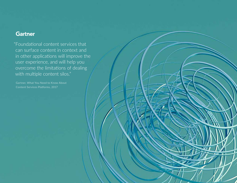### **Gartner**

"Foundational content services that can surface content in context and in other applications will improve the user experience, and will help you overcome the limitations of dealing with multiple content silos."

Content Services Platforms, 2017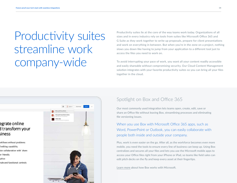## Productivity suites streamline work company-wide

Productivity suites lie at the core of the way teams work today. Organizations of all sizes and in every industry rely on tools from suites like Microsoft Office 365 and G Suite as they work together to write up proposals, prepare for client presentations and work on everything in between. But when you're in the zone on a project, nothing slows you down like having to jump from your application to a different tool just to access the files you need to work on.

To avoid interrupting your pace of work, you want all your content readily accessible and easily shareable without compromising security. Our Cloud Content Management solution integrates with your favorite productivity suites so you can bring all your files together in the cloud.



#### Spotlight on Box and Office 365

Our most commonly used integration lets teams open, create, edit, save or share an Office file without leaving Box, streamlining processes and eliminating file versioning issues.

When you use Box with Microsoft Office 365 apps, such as Word, PowerPoint or Outlook, you can easily collaborate with people both inside and outside your company.

Plus, work is even easier on the go. After all, as the workforce becomes even more mobile, you need the tools to ensure every line of business can keep up. Using Box centralizes and secures all your files and lets you use the Microsoft mobile apps to access your Office files right from your iPhone or iPad, so teams like field sales can edit pitch decks on the fly and keep every asset at their fingertips.

[Learn more](https://www.box.com/partners/microsoft) about how Box works with Microsoft.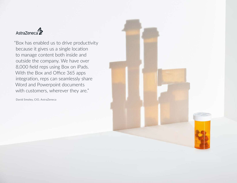

"Box has enabled us to drive productivity because it gives us a single location to manage content both inside and outside the company. We have over 8,000 field reps using Box on iPads. With the Box and Office 365 apps integration, reps can seamlessly share Word and Powerpoint documents with customers, wherever they are."

David Smoley, CIO, AstraZeneca

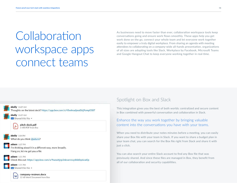# **Collaboration** workspace apps connect teams

As businesses need to move faster than ever, collaboration workspace tools keep conversations going and ensure work flows smoothly. These apps help you get work done on the go, connect your whole team and let everyone work together easily to empower a truly digital workplace. From sharing an agenda with meeting attendees to collaborating on a company-wide all-hands presentation, organizations of all sizes are adopting tools like Slack, Workplace by Facebook, Microsoft Teams and Google Hangout Chat to keep everyone working together in real-time.



#### Spotlight on Box and Slack

This integration gives you the best of both worlds: centralized and secure content in Box combined with powerful conversation and collaboration in Slack.

#### Enhance the way you work together by bringing valuable content into the conversations you have with your teams.

When you need to distribute your notes minutes before a meeting, you can easily share your Box file with your team in Slack. If you want to share a budget plan in your team chat, you can search for the Box file right from Slack and share it with just a click.

You can also search your entire Slack account to find any Box file that was previously shared. And since these files are managed in Box, they benefit from all of our collaboration and security capabilities.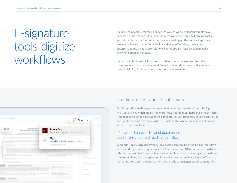## E-signature tools digitize workflows

As more companies embrace a paperless way to work, e-signature tools have become an integral part of helping them get work done quickly both internally and with external parties. Whether you're speeding up the contract approval process or having the perfect candidate sign an offer letter, the leading enterprise-grade e-signature solutions like Adobe Sign and DocuSign make the whole process a breeze.

Using these tools with Cloud Content Management allows you to reduce paper, secure and streamline workflows involving signatures, and gain endto-end visibility for important contracts and agreements.



#### Spotlight on Box and Adobe Sign

Our integration enables you to open documents for signature in Adobe Sign with just a click, which means the workflows you do most happen so much faster. And best of all, once a document is complete, it's automatically saved back to Box and can be accessed from anywhere — making the whole process seamless and secure from start to finish.

#### It's easier than ever to send documents out for e-signature directly within Box.

With our Adobe Sign integration, legal teams can redline or edit a contract draft in Box and then collect signatures; HR teams can send NDAs or extend customized offer letters; and field service teams can complete checklists and gather customer signatures. Plus, you can speed up internal approvals, such as signing off on marketing collateral, purchase orders and product management documentation.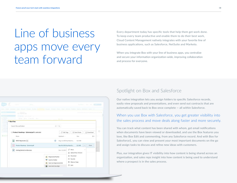### Line of business apps move every team forward

Every department today has specific tools that help them get work done. To keep every team productive and enable them to do their best work, Cloud Content Management natively integrates with your favorite line of business applications, such as Salesforce, NetSuite and Marketo.

When you integrate Box with your line of business apps, you centralize and secure your information organization-wide, improving collaboration and process for everyone.

| ₫.<br><b>Gironal</b>                                                                                     |                                                                                                             | Services and St. Service<br>State 1                                                                                                                                                                                                                                                           |       |  |
|----------------------------------------------------------------------------------------------------------|-------------------------------------------------------------------------------------------------------------|-----------------------------------------------------------------------------------------------------------------------------------------------------------------------------------------------------------------------------------------------------------------------------------------------|-------|--|
| Company's Line America, Controls Anche a Company America<br>Acros Co.<br>in tale from 1 days advenue. 10 |                                                                                                             | Correct Cours Come Military Resides Algers September Shirts<br>Continued in Product of Additional Continued in terms of the Additional Additional Continued International Additional Additional Additional Additional Additional Additional Additional Additional Additional Additional Addit |       |  |
| 23 For: 2 Thr. C. Saw The. 1 Servi                                                                       | <b>23 February</b>                                                                                          |                                                                                                                                                                                                                                                                                               |       |  |
| <b>* Box Files</b>                                                                                       |                                                                                                             |                                                                                                                                                                                                                                                                                               |       |  |
| Search Files and Folders                                                                                 | $\overline{m}$ = $Q$                                                                                        |                                                                                                                                                                                                                                                                                               |       |  |
| Product Roadmap - External.pdf is selected                                                               |                                                                                                             | <b>⊠</b> Send Items<br>Add Tags<br><b><i><u>U</u></i></b> Download                                                                                                                                                                                                                            | a     |  |
| Name                                                                                                     |                                                                                                             | Updated a<br>Size<br>喜言                                                                                                                                                                                                                                                                       | b you |  |
| SFDC Report.xlsx VI<br>圃                                                                                 | 0                                                                                                           | Aug 12, 2015 by Nate Sc.,<br>16.5 KB                                                                                                                                                                                                                                                          |       |  |
| Product Roadmap - External.pdf<br>メ                                                                      |                                                                                                             | Sep 18, 2015 by Nate Sc<br>Share<br>3.2 MB<br>$\alpha \rightarrow \alpha$                                                                                                                                                                                                                     |       |  |
| m<br>Getting Started on Box.docx                                                                         | Dec 13, 2017                                                                                                | 2 Share<br>÷<br>T Upload New Version                                                                                                                                                                                                                                                          |       |  |
|                                                                                                          | RingCentral FaxOut<br>回<br>Send to Chatter<br>τ<br>Send via RingCentral SMS<br>Œ<br>Send with DocuSign<br>o | Download<br>Q.<br><b>17</b> Favorite<br>Move or Copy<br>Ū<br><b>合</b> Lock                                                                                                                                                                                                                    |       |  |

#### Spotlight on Box and Salesforce

Our native integration lets you assign folders to specific Salesforce records, easily view proposals and presentations, and even send out contracts that are automatically saved back to Box once complete — all within Salesforce.

#### When you use Box with Salesforce, you get greater visibility into the sales process and move deals along faster and more securely.

You can track what content has been shared with whom, get email notifications when documents have been viewed or downloaded, and use the Box features you love, like Box Edit and commenting, from any Salesforce record. And with Box for Salesforce1, you can view and present your most important documents on the go and assign tasks to discuss and refine new ideas with customers.

Plus, our integration gives IT visibility into how content is being shared across an organization, and sales reps insight into how content is being used to understand where a prospect is in the sales process.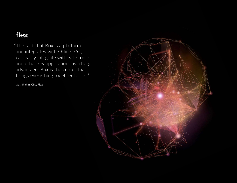### flex

"The fact that Box is a platform and integrates with Office 365, can easily integrate with Salesforce and other key applications, is a huge advantage. Box is the center that brings everything together for us."

Gus Shahin, CIO, Flex

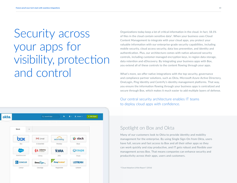### Security across your apps for visibility, protection and control

| okta | $\spadesuit$<br>$\mathbf{A}$ -<br>$\perp$ James $\sim$<br>Q. Launch App<br>+ Add Apps |              |                    |                |  |  |  |
|------|---------------------------------------------------------------------------------------|--------------|--------------------|----------------|--|--|--|
|      | Work<br>$\frac{1}{2}$                                                                 |              |                    |                |  |  |  |
|      | box                                                                                   | M Gmail      | workday.           | slack          |  |  |  |
|      | Box                                                                                   | G Sulte Mail | Workday            | Slack          |  |  |  |
|      | uledom                                                                                | $U$ demy     | <b>XJIRA</b>       | 综coupa         |  |  |  |
|      | Salesforce.com                                                                        | Udemy        | <b>JIRA</b>        | Coupa          |  |  |  |
|      | <b>G</b> CONCUR                                                                       | DocuSign.    | <b>RingCentral</b> | <b>USTREAM</b> |  |  |  |
|      | Concur                                                                                | DocuSign     | RingCentral        | Ustream        |  |  |  |

Organizations today keep a lot of critical information in the cloud. In fact, 18.1% of files in the cloud contain sensitive data<sup>1</sup>. When your business uses Cloud Content Management to integrate with your cloud apps, you protect your valuable information with our enterprise-grade security capabilities, including mobile security, cloud access security, data loss prevention, and identity and authentication. Plus, our architecture comes with native advanced security controls, including customer-managed encryption keys, in-region data storage, data retention and eDiscovery. By integrating your business apps with Box, you extend all of these controls to the content flowing through your apps.

What's more, we offer native integrations with the top security, governance and compliance partner solutions, such as Okta, Microsoft Azure Active Directory, OneLogin, Ping Identity and Centrify's identity management platforms. That way, you ensure the information flowing through your business apps is centralized and secure through Box, which makes it much easier to add multiple layers of defense.

Our central security architecture enables IT teams to deploy cloud apps with confidence.

#### Spotlight on Box and Okta

Many of our customers look to Okta to provide identity and mobility management for the enterprise. By using Single Sign-On from Okta, users have full, secure and fast access to Box and all their other apps so they can work quickly and stay productive, and IT gets robust and flexible user management across Box. That means companies can enhance security and productivity across their apps, users and customers.

*1"Cloud Adoption & Risk Report" (2016)*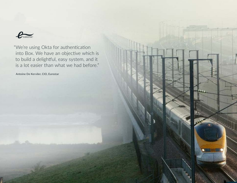

"We're using Okta for authentication into Box. We have an objective which is to build a delightful, easy system, and it is a lot easier than what we had before."

Antoine De Kerviler, CIO, Eurostar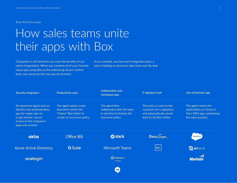Real-World Example

### How sales teams unite their apps with Box

Companies in all industries can reap the benefits of our native integrations. When you combine all of your favorite cloud apps using Box as the underlying secure content layer, you speed up the way you do business.

As an example, see how each integration plays a part in helping an insurance sales team seal the deal.

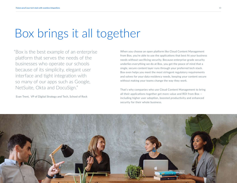### Box brings it all together

"Box is the best example of an enterprise platform that serves the needs of the businesses who operate our schools because of its simplicity, elegant user interface and tight integration with so many of our apps such as Google, NetSuite, Okta and DocuSign."

Evan Trent, VP of Digital Strategy and Tech, School of Rock

When you choose an open platform like Cloud Content Management from Box, you're able to use the applications that best fit your business needs without sacrificing security. Because enterprise-grade security underlies everything we do at Box, you get the peace of mind that a single, secure content layer runs through your preferred tech stack. Box even helps you meet the most stringent regulatory requirements and solves for your data residency needs, keeping your content secure without making your teams change the way they work.

That's why companies who use Cloud Content Management to bring all their applications together get more value and ROI from Box  $$ including higher user adoption, boosted productivity and enhanced security for their whole business.